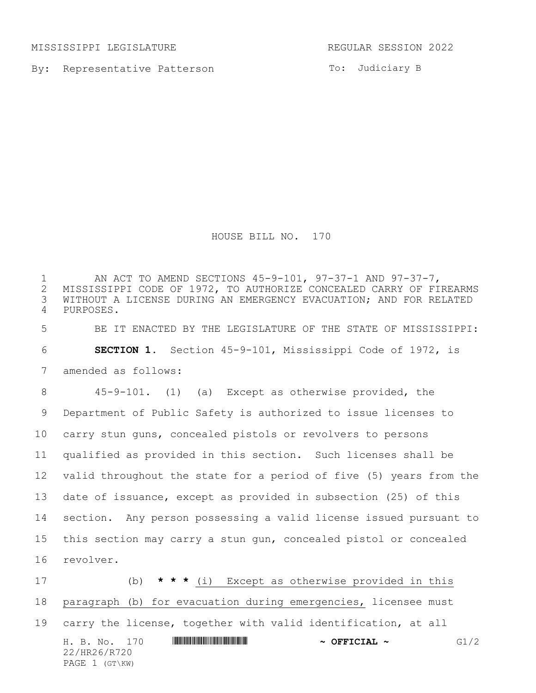MISSISSIPPI LEGISLATURE REGULAR SESSION 2022

By: Representative Patterson

To: Judiciary B

HOUSE BILL NO. 170

H. B. No. 170 **HRACK RACK AND A SET CIAL ~** G1/2 22/HR26/R720 PAGE 1 (GT\KW) AN ACT TO AMEND SECTIONS 45-9-101, 97-37-1 AND 97-37-7, 2 MISSISSIPPI CODE OF 1972, TO AUTHORIZE CONCEALED CARRY OF FIREARMS<br>3 WITHOUT A LICENSE DURING AN EMERGENCY EVACUATION; AND FOR RELATED WITHOUT A LICENSE DURING AN EMERGENCY EVACUATION; AND FOR RELATED PURPOSES. BE IT ENACTED BY THE LEGISLATURE OF THE STATE OF MISSISSIPPI: **SECTION 1.** Section 45-9-101, Mississippi Code of 1972, is amended as follows: 45-9-101. (1) (a) Except as otherwise provided, the Department of Public Safety is authorized to issue licenses to carry stun guns, concealed pistols or revolvers to persons qualified as provided in this section. Such licenses shall be valid throughout the state for a period of five (5) years from the date of issuance, except as provided in subsection (25) of this section. Any person possessing a valid license issued pursuant to this section may carry a stun gun, concealed pistol or concealed revolver. (b) **\* \* \*** (i) Except as otherwise provided in this paragraph (b) for evacuation during emergencies, licensee must carry the license, together with valid identification, at all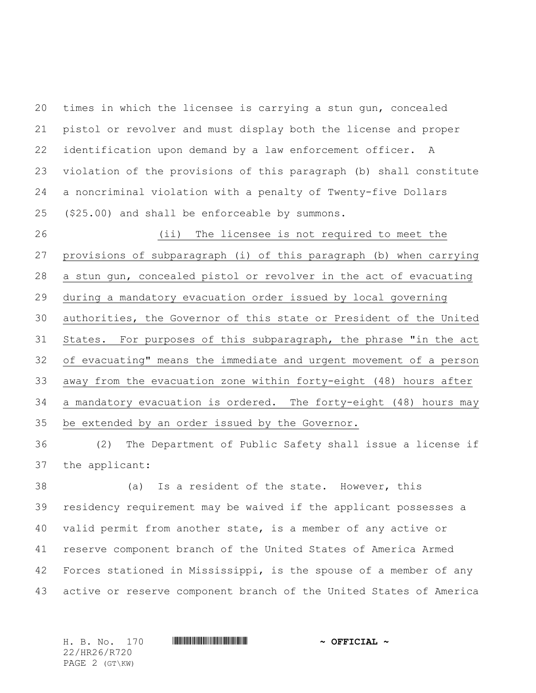times in which the licensee is carrying a stun gun, concealed pistol or revolver and must display both the license and proper identification upon demand by a law enforcement officer. A violation of the provisions of this paragraph (b) shall constitute a noncriminal violation with a penalty of Twenty-five Dollars (\$25.00) and shall be enforceable by summons.

 (ii) The licensee is not required to meet the provisions of subparagraph (i) of this paragraph (b) when carrying a stun gun, concealed pistol or revolver in the act of evacuating during a mandatory evacuation order issued by local governing authorities, the Governor of this state or President of the United States. For purposes of this subparagraph, the phrase "in the act of evacuating" means the immediate and urgent movement of a person away from the evacuation zone within forty-eight (48) hours after a mandatory evacuation is ordered. The forty-eight (48) hours may be extended by an order issued by the Governor.

 (2) The Department of Public Safety shall issue a license if the applicant:

 (a) Is a resident of the state. However, this residency requirement may be waived if the applicant possesses a valid permit from another state, is a member of any active or reserve component branch of the United States of America Armed Forces stationed in Mississippi, is the spouse of a member of any active or reserve component branch of the United States of America

H. B. No. 170 \*HR26/R720\* **~ OFFICIAL ~** 22/HR26/R720 PAGE 2 (GT\KW)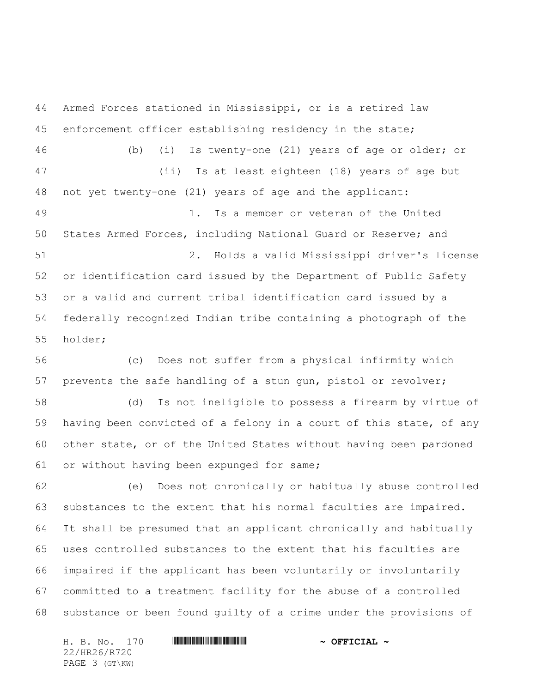Armed Forces stationed in Mississippi, or is a retired law enforcement officer establishing residency in the state; (b) (i) Is twenty-one (21) years of age or older; or (ii) Is at least eighteen (18) years of age but not yet twenty-one (21) years of age and the applicant: 1. Is a member or veteran of the United States Armed Forces, including National Guard or Reserve; and 2. Holds a valid Mississippi driver's license or identification card issued by the Department of Public Safety or a valid and current tribal identification card issued by a federally recognized Indian tribe containing a photograph of the holder; (c) Does not suffer from a physical infirmity which prevents the safe handling of a stun gun, pistol or revolver; (d) Is not ineligible to possess a firearm by virtue of having been convicted of a felony in a court of this state, of any other state, or of the United States without having been pardoned or without having been expunged for same; (e) Does not chronically or habitually abuse controlled

 substances to the extent that his normal faculties are impaired. It shall be presumed that an applicant chronically and habitually uses controlled substances to the extent that his faculties are impaired if the applicant has been voluntarily or involuntarily committed to a treatment facility for the abuse of a controlled substance or been found guilty of a crime under the provisions of

H. B. No. 170 \*HR26/R720\* **~ OFFICIAL ~** 22/HR26/R720 PAGE 3 (GT\KW)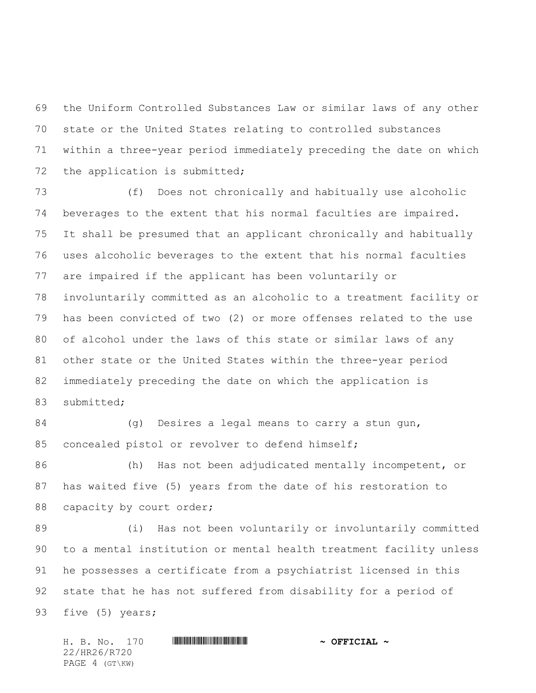the Uniform Controlled Substances Law or similar laws of any other state or the United States relating to controlled substances within a three-year period immediately preceding the date on which the application is submitted;

 (f) Does not chronically and habitually use alcoholic beverages to the extent that his normal faculties are impaired. It shall be presumed that an applicant chronically and habitually uses alcoholic beverages to the extent that his normal faculties are impaired if the applicant has been voluntarily or involuntarily committed as an alcoholic to a treatment facility or has been convicted of two (2) or more offenses related to the use of alcohol under the laws of this state or similar laws of any other state or the United States within the three-year period immediately preceding the date on which the application is submitted;

84 (g) Desires a legal means to carry a stun gun, concealed pistol or revolver to defend himself;

 (h) Has not been adjudicated mentally incompetent, or has waited five (5) years from the date of his restoration to 88 capacity by court order;

 (i) Has not been voluntarily or involuntarily committed to a mental institution or mental health treatment facility unless he possesses a certificate from a psychiatrist licensed in this state that he has not suffered from disability for a period of 93 five (5) years;

H. B. No. 170 \*HR26/R720\* **~ OFFICIAL ~** 22/HR26/R720 PAGE 4 (GT\KW)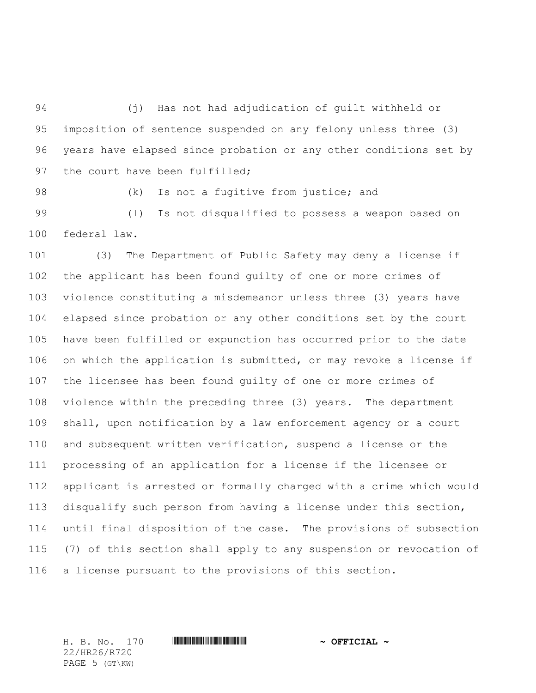(j) Has not had adjudication of guilt withheld or imposition of sentence suspended on any felony unless three (3) years have elapsed since probation or any other conditions set by 97 the court have been fulfilled;

98 (k) Is not a fugitive from justice; and

 (l) Is not disqualified to possess a weapon based on federal law.

 (3) The Department of Public Safety may deny a license if the applicant has been found guilty of one or more crimes of violence constituting a misdemeanor unless three (3) years have elapsed since probation or any other conditions set by the court have been fulfilled or expunction has occurred prior to the date on which the application is submitted, or may revoke a license if the licensee has been found guilty of one or more crimes of violence within the preceding three (3) years. The department shall, upon notification by a law enforcement agency or a court and subsequent written verification, suspend a license or the processing of an application for a license if the licensee or applicant is arrested or formally charged with a crime which would disqualify such person from having a license under this section, until final disposition of the case. The provisions of subsection (7) of this section shall apply to any suspension or revocation of a license pursuant to the provisions of this section.

22/HR26/R720 PAGE 5 (GT\KW)

H. B. No. 170 \*HR26/R720\* **~ OFFICIAL ~**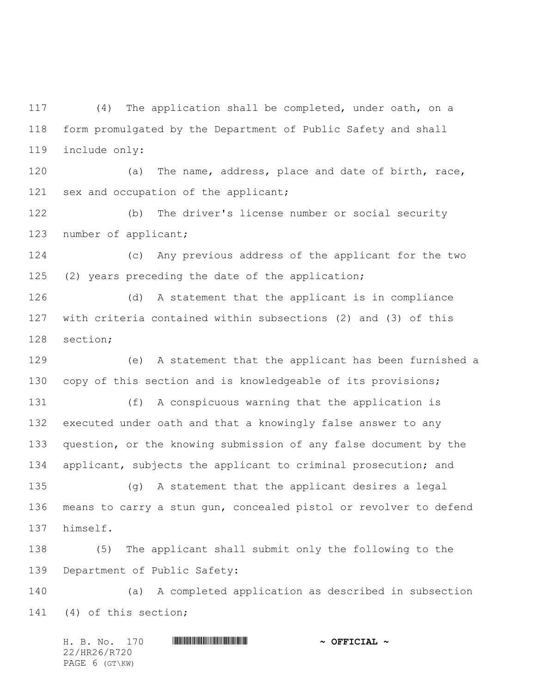(4) The application shall be completed, under oath, on a form promulgated by the Department of Public Safety and shall include only:

 (a) The name, address, place and date of birth, race, 121 sex and occupation of the applicant;

 (b) The driver's license number or social security 123 number of applicant;

 (c) Any previous address of the applicant for the two (2) years preceding the date of the application;

 (d) A statement that the applicant is in compliance with criteria contained within subsections (2) and (3) of this section;

 (e) A statement that the applicant has been furnished a copy of this section and is knowledgeable of its provisions;

 (f) A conspicuous warning that the application is executed under oath and that a knowingly false answer to any question, or the knowing submission of any false document by the applicant, subjects the applicant to criminal prosecution; and

 (g) A statement that the applicant desires a legal means to carry a stun gun, concealed pistol or revolver to defend himself.

 (5) The applicant shall submit only the following to the Department of Public Safety:

 (a) A completed application as described in subsection (4) of this section;

H. B. No. 170 \*HR26/R720\* **~ OFFICIAL ~** 22/HR26/R720 PAGE 6 (GT\KW)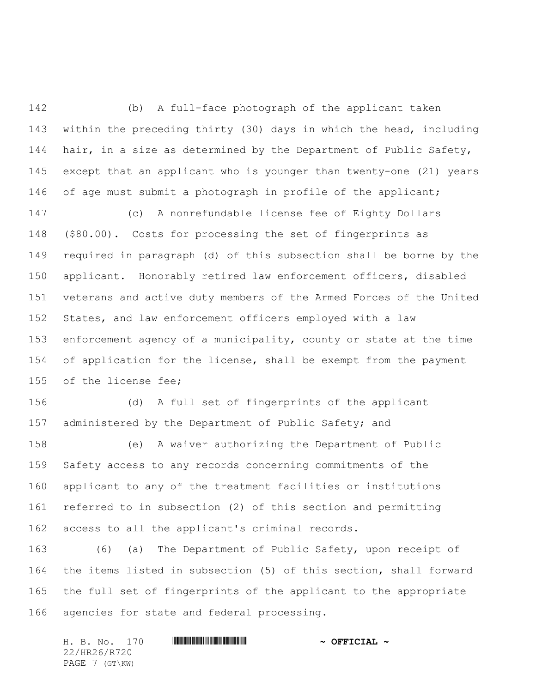(b) A full-face photograph of the applicant taken within the preceding thirty (30) days in which the head, including 144 hair, in a size as determined by the Department of Public Safety, except that an applicant who is younger than twenty-one (21) years 146 of age must submit a photograph in profile of the applicant;

 (c) A nonrefundable license fee of Eighty Dollars (\$80.00). Costs for processing the set of fingerprints as required in paragraph (d) of this subsection shall be borne by the applicant. Honorably retired law enforcement officers, disabled veterans and active duty members of the Armed Forces of the United States, and law enforcement officers employed with a law enforcement agency of a municipality, county or state at the time 154 of application for the license, shall be exempt from the payment of the license fee;

 (d) A full set of fingerprints of the applicant 157 administered by the Department of Public Safety; and

 (e) A waiver authorizing the Department of Public Safety access to any records concerning commitments of the applicant to any of the treatment facilities or institutions referred to in subsection (2) of this section and permitting access to all the applicant's criminal records.

 (6) (a) The Department of Public Safety, upon receipt of the items listed in subsection (5) of this section, shall forward the full set of fingerprints of the applicant to the appropriate agencies for state and federal processing.

H. B. No. 170 \*HR26/R720\* **~ OFFICIAL ~** 22/HR26/R720 PAGE 7 (GT\KW)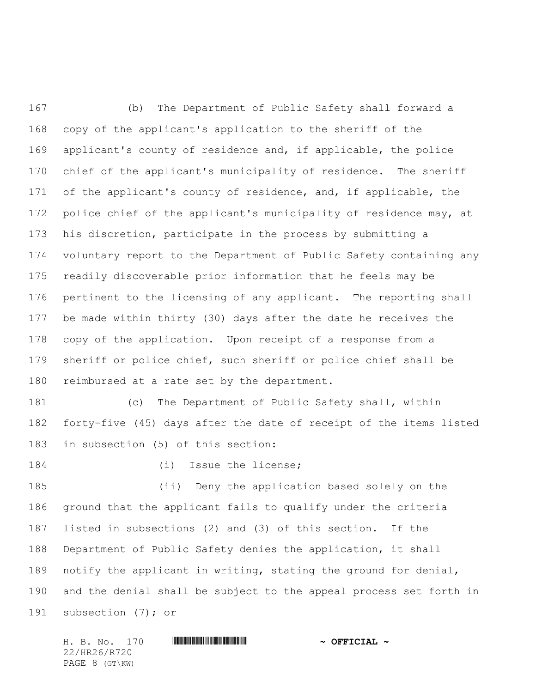(b) The Department of Public Safety shall forward a copy of the applicant's application to the sheriff of the applicant's county of residence and, if applicable, the police chief of the applicant's municipality of residence. The sheriff 171 of the applicant's county of residence, and, if applicable, the 172 police chief of the applicant's municipality of residence may, at his discretion, participate in the process by submitting a voluntary report to the Department of Public Safety containing any readily discoverable prior information that he feels may be pertinent to the licensing of any applicant. The reporting shall be made within thirty (30) days after the date he receives the copy of the application. Upon receipt of a response from a sheriff or police chief, such sheriff or police chief shall be reimbursed at a rate set by the department.

 (c) The Department of Public Safety shall, within forty-five (45) days after the date of receipt of the items listed in subsection (5) of this section:

184 (i) Issue the license;

 (ii) Deny the application based solely on the ground that the applicant fails to qualify under the criteria listed in subsections (2) and (3) of this section. If the Department of Public Safety denies the application, it shall notify the applicant in writing, stating the ground for denial, and the denial shall be subject to the appeal process set forth in subsection (7); or

H. B. No. 170 \*HR26/R720\* **~ OFFICIAL ~** 22/HR26/R720 PAGE 8 (GT\KW)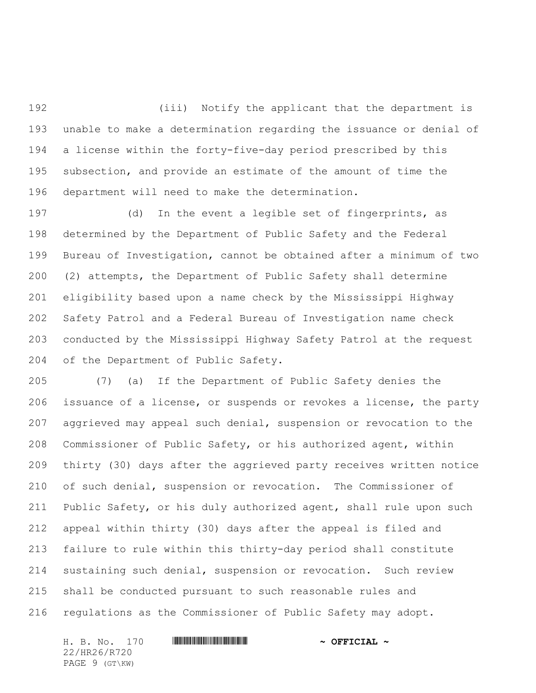(iii) Notify the applicant that the department is unable to make a determination regarding the issuance or denial of a license within the forty-five-day period prescribed by this subsection, and provide an estimate of the amount of time the department will need to make the determination.

 (d) In the event a legible set of fingerprints, as determined by the Department of Public Safety and the Federal Bureau of Investigation, cannot be obtained after a minimum of two (2) attempts, the Department of Public Safety shall determine eligibility based upon a name check by the Mississippi Highway Safety Patrol and a Federal Bureau of Investigation name check conducted by the Mississippi Highway Safety Patrol at the request of the Department of Public Safety.

 (7) (a) If the Department of Public Safety denies the issuance of a license, or suspends or revokes a license, the party aggrieved may appeal such denial, suspension or revocation to the Commissioner of Public Safety, or his authorized agent, within thirty (30) days after the aggrieved party receives written notice of such denial, suspension or revocation. The Commissioner of Public Safety, or his duly authorized agent, shall rule upon such appeal within thirty (30) days after the appeal is filed and failure to rule within this thirty-day period shall constitute sustaining such denial, suspension or revocation. Such review shall be conducted pursuant to such reasonable rules and regulations as the Commissioner of Public Safety may adopt.

H. B. No. 170 \*HR26/R720\* **~ OFFICIAL ~** 22/HR26/R720 PAGE 9 (GT\KW)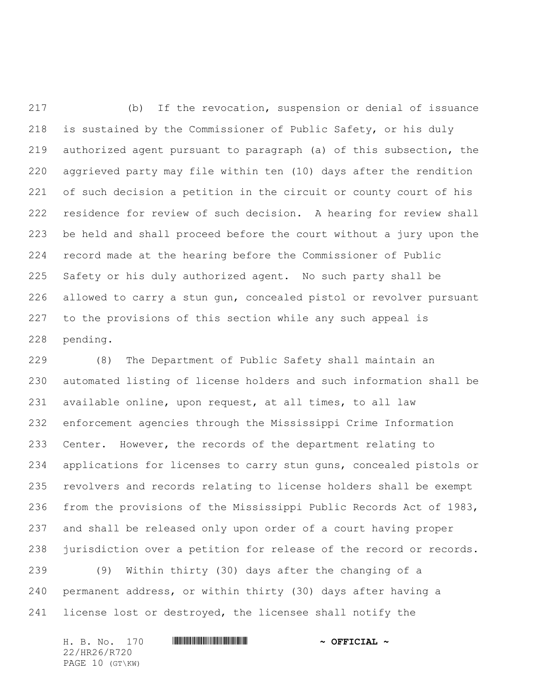(b) If the revocation, suspension or denial of issuance is sustained by the Commissioner of Public Safety, or his duly authorized agent pursuant to paragraph (a) of this subsection, the aggrieved party may file within ten (10) days after the rendition of such decision a petition in the circuit or county court of his residence for review of such decision. A hearing for review shall be held and shall proceed before the court without a jury upon the record made at the hearing before the Commissioner of Public Safety or his duly authorized agent. No such party shall be allowed to carry a stun gun, concealed pistol or revolver pursuant to the provisions of this section while any such appeal is pending.

 (8) The Department of Public Safety shall maintain an automated listing of license holders and such information shall be available online, upon request, at all times, to all law enforcement agencies through the Mississippi Crime Information Center. However, the records of the department relating to applications for licenses to carry stun guns, concealed pistols or revolvers and records relating to license holders shall be exempt from the provisions of the Mississippi Public Records Act of 1983, and shall be released only upon order of a court having proper 238 jurisdiction over a petition for release of the record or records.

 (9) Within thirty (30) days after the changing of a permanent address, or within thirty (30) days after having a license lost or destroyed, the licensee shall notify the

H. B. No. 170 \*HR26/R720\* **~ OFFICIAL ~** 22/HR26/R720 PAGE 10 (GT\KW)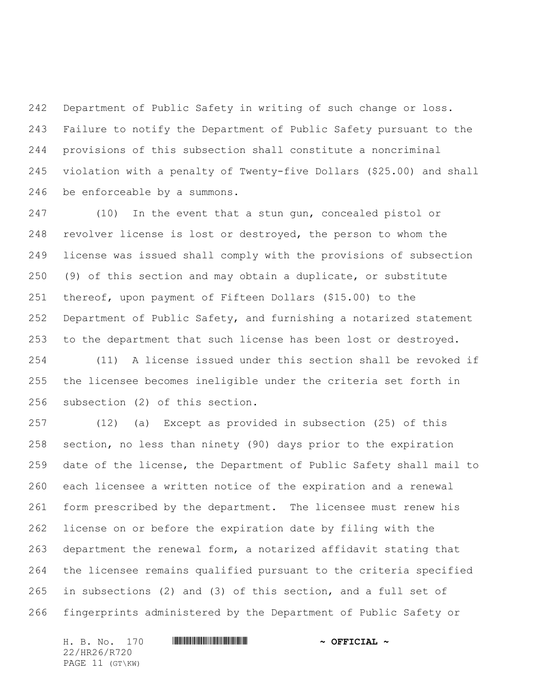Department of Public Safety in writing of such change or loss. Failure to notify the Department of Public Safety pursuant to the provisions of this subsection shall constitute a noncriminal violation with a penalty of Twenty-five Dollars (\$25.00) and shall be enforceable by a summons.

 (10) In the event that a stun gun, concealed pistol or revolver license is lost or destroyed, the person to whom the license was issued shall comply with the provisions of subsection (9) of this section and may obtain a duplicate, or substitute thereof, upon payment of Fifteen Dollars (\$15.00) to the Department of Public Safety, and furnishing a notarized statement to the department that such license has been lost or destroyed.

 (11) A license issued under this section shall be revoked if the licensee becomes ineligible under the criteria set forth in subsection (2) of this section.

 (12) (a) Except as provided in subsection (25) of this section, no less than ninety (90) days prior to the expiration date of the license, the Department of Public Safety shall mail to each licensee a written notice of the expiration and a renewal form prescribed by the department. The licensee must renew his license on or before the expiration date by filing with the department the renewal form, a notarized affidavit stating that the licensee remains qualified pursuant to the criteria specified in subsections (2) and (3) of this section, and a full set of fingerprints administered by the Department of Public Safety or

H. B. No. 170 \*HR26/R720\* **~ OFFICIAL ~** 22/HR26/R720 PAGE 11 (GT\KW)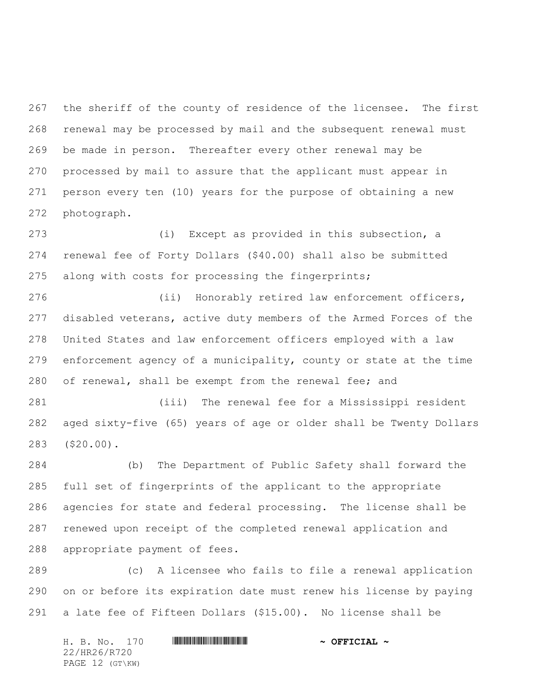the sheriff of the county of residence of the licensee. The first renewal may be processed by mail and the subsequent renewal must be made in person. Thereafter every other renewal may be processed by mail to assure that the applicant must appear in person every ten (10) years for the purpose of obtaining a new photograph.

 (i) Except as provided in this subsection, a renewal fee of Forty Dollars (\$40.00) shall also be submitted along with costs for processing the fingerprints;

 (ii) Honorably retired law enforcement officers, disabled veterans, active duty members of the Armed Forces of the United States and law enforcement officers employed with a law enforcement agency of a municipality, county or state at the time of renewal, shall be exempt from the renewal fee; and

 (iii) The renewal fee for a Mississippi resident aged sixty-five (65) years of age or older shall be Twenty Dollars (\$20.00).

 (b) The Department of Public Safety shall forward the full set of fingerprints of the applicant to the appropriate agencies for state and federal processing. The license shall be renewed upon receipt of the completed renewal application and appropriate payment of fees.

 (c) A licensee who fails to file a renewal application on or before its expiration date must renew his license by paying a late fee of Fifteen Dollars (\$15.00). No license shall be

H. B. No. 170 \*HR26/R720\* **~ OFFICIAL ~** 22/HR26/R720 PAGE 12 (GT\KW)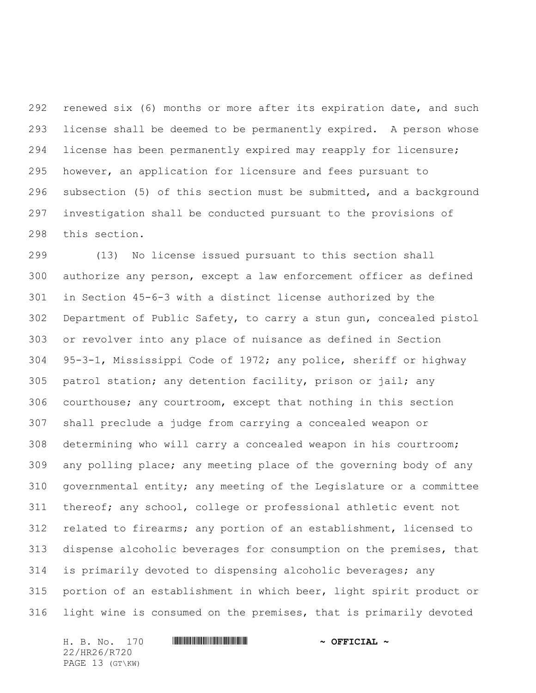renewed six (6) months or more after its expiration date, and such license shall be deemed to be permanently expired. A person whose license has been permanently expired may reapply for licensure; however, an application for licensure and fees pursuant to subsection (5) of this section must be submitted, and a background investigation shall be conducted pursuant to the provisions of this section.

 (13) No license issued pursuant to this section shall authorize any person, except a law enforcement officer as defined in Section 45-6-3 with a distinct license authorized by the Department of Public Safety, to carry a stun gun, concealed pistol or revolver into any place of nuisance as defined in Section 95-3-1, Mississippi Code of 1972; any police, sheriff or highway patrol station; any detention facility, prison or jail; any courthouse; any courtroom, except that nothing in this section shall preclude a judge from carrying a concealed weapon or determining who will carry a concealed weapon in his courtroom; any polling place; any meeting place of the governing body of any governmental entity; any meeting of the Legislature or a committee thereof; any school, college or professional athletic event not related to firearms; any portion of an establishment, licensed to dispense alcoholic beverages for consumption on the premises, that is primarily devoted to dispensing alcoholic beverages; any portion of an establishment in which beer, light spirit product or light wine is consumed on the premises, that is primarily devoted

H. B. No. 170 \*HR26/R720\* **~ OFFICIAL ~** 22/HR26/R720 PAGE 13 (GT\KW)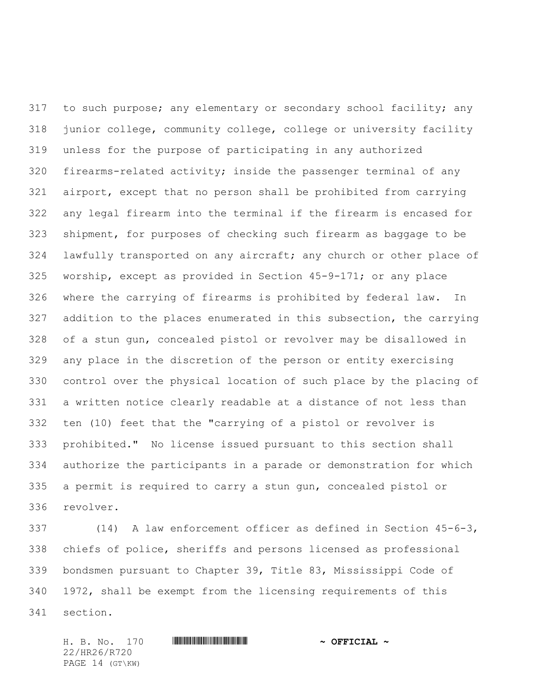317 to such purpose; any elementary or secondary school facility; any junior college, community college, college or university facility unless for the purpose of participating in any authorized firearms-related activity; inside the passenger terminal of any airport, except that no person shall be prohibited from carrying any legal firearm into the terminal if the firearm is encased for shipment, for purposes of checking such firearm as baggage to be lawfully transported on any aircraft; any church or other place of worship, except as provided in Section 45-9-171; or any place where the carrying of firearms is prohibited by federal law. In addition to the places enumerated in this subsection, the carrying of a stun gun, concealed pistol or revolver may be disallowed in any place in the discretion of the person or entity exercising control over the physical location of such place by the placing of a written notice clearly readable at a distance of not less than ten (10) feet that the "carrying of a pistol or revolver is prohibited." No license issued pursuant to this section shall authorize the participants in a parade or demonstration for which a permit is required to carry a stun gun, concealed pistol or revolver.

 (14) A law enforcement officer as defined in Section 45-6-3, chiefs of police, sheriffs and persons licensed as professional bondsmen pursuant to Chapter 39, Title 83, Mississippi Code of 1972, shall be exempt from the licensing requirements of this section.

22/HR26/R720 PAGE 14 (GT\KW)

H. B. No. 170 \*HR26/R720\* **~ OFFICIAL ~**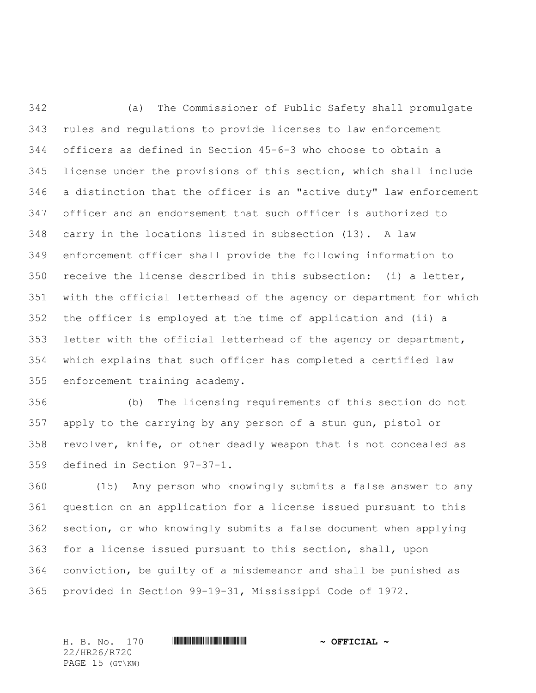(a) The Commissioner of Public Safety shall promulgate rules and regulations to provide licenses to law enforcement officers as defined in Section 45-6-3 who choose to obtain a license under the provisions of this section, which shall include a distinction that the officer is an "active duty" law enforcement officer and an endorsement that such officer is authorized to carry in the locations listed in subsection (13)**.** A law enforcement officer shall provide the following information to receive the license described in this subsection: (i) a letter, with the official letterhead of the agency or department for which the officer is employed at the time of application and (ii) a 353 letter with the official letterhead of the agency or department, which explains that such officer has completed a certified law enforcement training academy.

 (b) The licensing requirements of this section do not apply to the carrying by any person of a stun gun, pistol or revolver, knife, or other deadly weapon that is not concealed as defined in Section 97-37-1.

 (15) Any person who knowingly submits a false answer to any question on an application for a license issued pursuant to this section, or who knowingly submits a false document when applying for a license issued pursuant to this section, shall, upon conviction, be guilty of a misdemeanor and shall be punished as provided in Section 99-19-31, Mississippi Code of 1972.

22/HR26/R720 PAGE 15 (GT\KW)

H. B. No. 170 \*HR26/R720\* **~ OFFICIAL ~**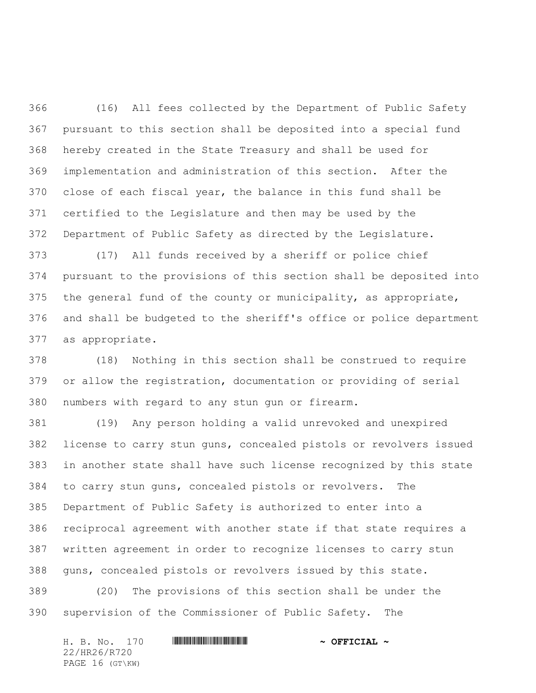(16) All fees collected by the Department of Public Safety pursuant to this section shall be deposited into a special fund hereby created in the State Treasury and shall be used for implementation and administration of this section. After the close of each fiscal year, the balance in this fund shall be certified to the Legislature and then may be used by the Department of Public Safety as directed by the Legislature.

 (17) All funds received by a sheriff or police chief pursuant to the provisions of this section shall be deposited into the general fund of the county or municipality, as appropriate, and shall be budgeted to the sheriff's office or police department as appropriate.

 (18) Nothing in this section shall be construed to require or allow the registration, documentation or providing of serial numbers with regard to any stun gun or firearm.

 (19) Any person holding a valid unrevoked and unexpired license to carry stun guns, concealed pistols or revolvers issued in another state shall have such license recognized by this state to carry stun guns, concealed pistols or revolvers. The Department of Public Safety is authorized to enter into a reciprocal agreement with another state if that state requires a written agreement in order to recognize licenses to carry stun guns, concealed pistols or revolvers issued by this state.

 (20) The provisions of this section shall be under the supervision of the Commissioner of Public Safety. The

| H. B. No. 170   |  |  |  | $\sim$ OFFICIAL $\sim$ |  |
|-----------------|--|--|--|------------------------|--|
| 22/HR26/R720    |  |  |  |                        |  |
| PAGE 16 (GT\KW) |  |  |  |                        |  |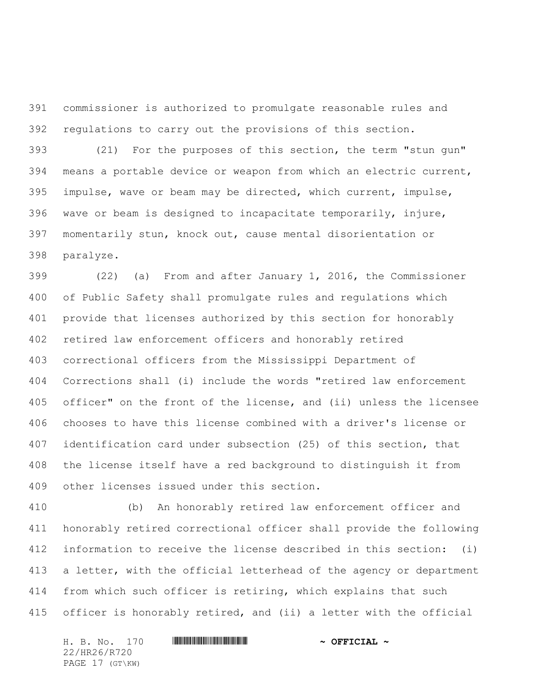commissioner is authorized to promulgate reasonable rules and regulations to carry out the provisions of this section.

 (21) For the purposes of this section, the term "stun gun" means a portable device or weapon from which an electric current, impulse, wave or beam may be directed, which current, impulse, wave or beam is designed to incapacitate temporarily, injure, momentarily stun, knock out, cause mental disorientation or paralyze.

 (22) (a) From and after January 1, 2016, the Commissioner of Public Safety shall promulgate rules and regulations which provide that licenses authorized by this section for honorably retired law enforcement officers and honorably retired correctional officers from the Mississippi Department of Corrections shall (i) include the words "retired law enforcement officer" on the front of the license, and (ii) unless the licensee chooses to have this license combined with a driver's license or identification card under subsection (25) of this section, that the license itself have a red background to distinguish it from other licenses issued under this section.

 (b) An honorably retired law enforcement officer and honorably retired correctional officer shall provide the following information to receive the license described in this section: (i) a letter, with the official letterhead of the agency or department from which such officer is retiring, which explains that such officer is honorably retired, and (ii) a letter with the official

H. B. No. 170 \*HR26/R720\* **~ OFFICIAL ~** 22/HR26/R720 PAGE 17 (GT\KW)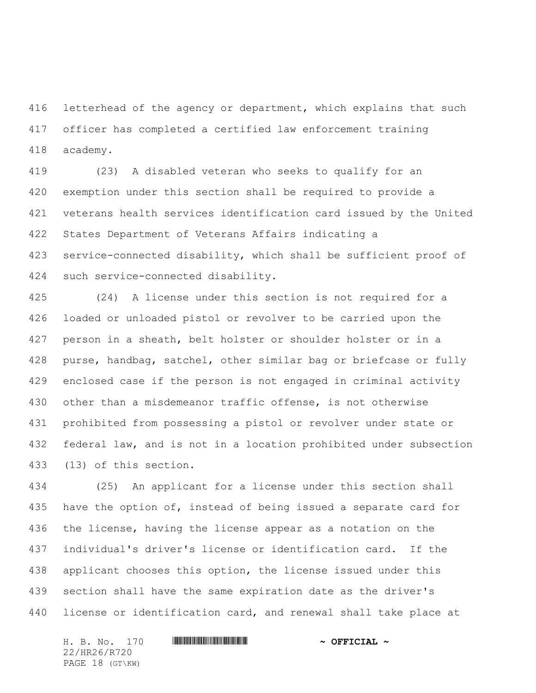416 letterhead of the agency or department, which explains that such officer has completed a certified law enforcement training academy.

 (23) A disabled veteran who seeks to qualify for an exemption under this section shall be required to provide a veterans health services identification card issued by the United States Department of Veterans Affairs indicating a service-connected disability, which shall be sufficient proof of such service-connected disability.

 (24) A license under this section is not required for a loaded or unloaded pistol or revolver to be carried upon the person in a sheath, belt holster or shoulder holster or in a purse, handbag, satchel, other similar bag or briefcase or fully enclosed case if the person is not engaged in criminal activity other than a misdemeanor traffic offense, is not otherwise prohibited from possessing a pistol or revolver under state or federal law, and is not in a location prohibited under subsection (13) of this section.

 (25) An applicant for a license under this section shall 435 have the option of, instead of being issued a separate card for the license, having the license appear as a notation on the individual's driver's license or identification card. If the applicant chooses this option, the license issued under this section shall have the same expiration date as the driver's license or identification card, and renewal shall take place at

H. B. No. 170 \*HR26/R720\* **~ OFFICIAL ~** 22/HR26/R720 PAGE 18 (GT\KW)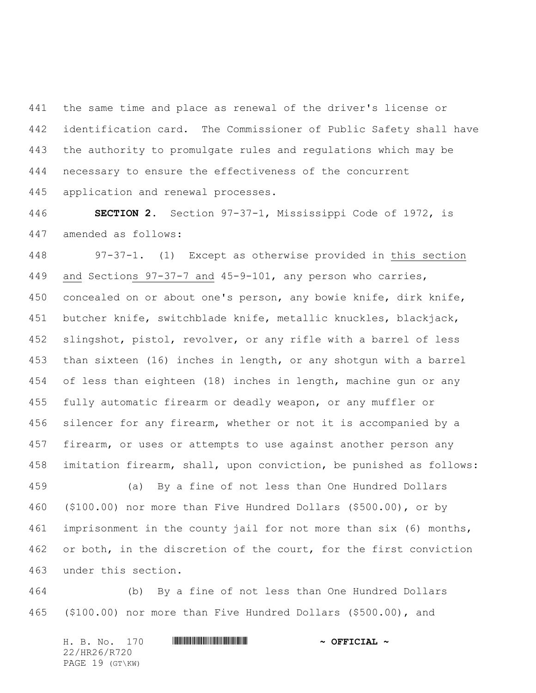the same time and place as renewal of the driver's license or identification card. The Commissioner of Public Safety shall have the authority to promulgate rules and regulations which may be necessary to ensure the effectiveness of the concurrent application and renewal processes.

 **SECTION 2.** Section 97-37-1, Mississippi Code of 1972, is amended as follows:

 97-37-1. (1) Except as otherwise provided in this section and Sections 97-37-7 and 45-9-101, any person who carries, concealed on or about one's person, any bowie knife, dirk knife, butcher knife, switchblade knife, metallic knuckles, blackjack, slingshot, pistol, revolver, or any rifle with a barrel of less than sixteen (16) inches in length, or any shotgun with a barrel of less than eighteen (18) inches in length, machine gun or any fully automatic firearm or deadly weapon, or any muffler or silencer for any firearm, whether or not it is accompanied by a firearm, or uses or attempts to use against another person any imitation firearm, shall, upon conviction, be punished as follows:

 (a) By a fine of not less than One Hundred Dollars (\$100.00) nor more than Five Hundred Dollars (\$500.00), or by imprisonment in the county jail for not more than six (6) months, or both, in the discretion of the court, for the first conviction under this section.

 (b) By a fine of not less than One Hundred Dollars (\$100.00) nor more than Five Hundred Dollars (\$500.00), and

H. B. No. 170 \*HR26/R720\* **~ OFFICIAL ~** 22/HR26/R720 PAGE 19 (GT\KW)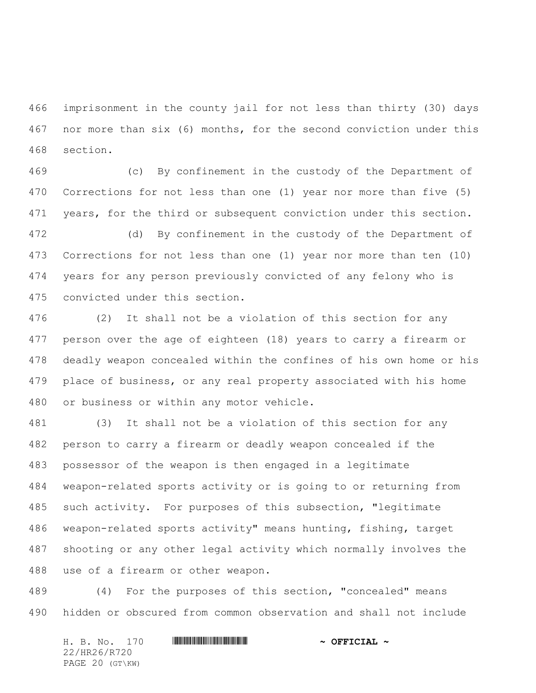imprisonment in the county jail for not less than thirty (30) days nor more than six (6) months, for the second conviction under this section.

 (c) By confinement in the custody of the Department of Corrections for not less than one (1) year nor more than five (5) years, for the third or subsequent conviction under this section.

 (d) By confinement in the custody of the Department of Corrections for not less than one (1) year nor more than ten (10) years for any person previously convicted of any felony who is convicted under this section.

 (2) It shall not be a violation of this section for any person over the age of eighteen (18) years to carry a firearm or deadly weapon concealed within the confines of his own home or his place of business, or any real property associated with his home or business or within any motor vehicle.

 (3) It shall not be a violation of this section for any person to carry a firearm or deadly weapon concealed if the possessor of the weapon is then engaged in a legitimate weapon-related sports activity or is going to or returning from such activity. For purposes of this subsection, "legitimate weapon-related sports activity" means hunting, fishing, target shooting or any other legal activity which normally involves the use of a firearm or other weapon.

 (4) For the purposes of this section, "concealed" means hidden or obscured from common observation and shall not include

H. B. No. 170 \*HR26/R720\* **~ OFFICIAL ~** 22/HR26/R720 PAGE 20 (GT\KW)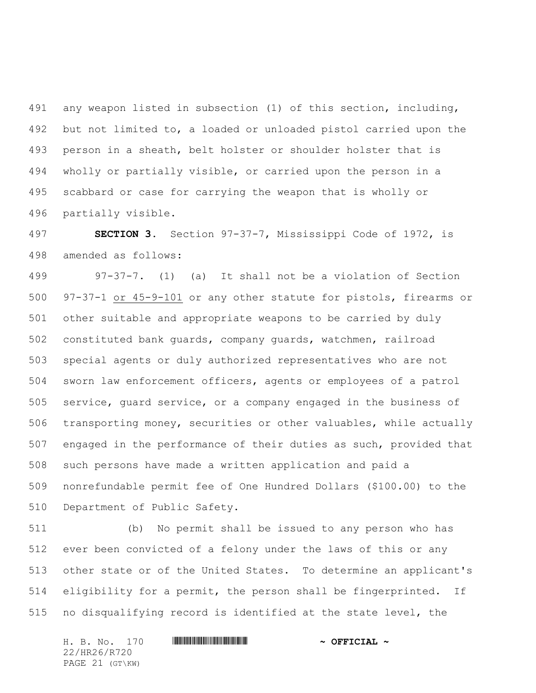any weapon listed in subsection (1) of this section, including, but not limited to, a loaded or unloaded pistol carried upon the person in a sheath, belt holster or shoulder holster that is wholly or partially visible, or carried upon the person in a scabbard or case for carrying the weapon that is wholly or partially visible.

 **SECTION 3.** Section 97-37-7, Mississippi Code of 1972, is amended as follows:

 97-37-7. (1) (a) It shall not be a violation of Section 97-37-1 or 45-9-101 or any other statute for pistols, firearms or other suitable and appropriate weapons to be carried by duly constituted bank guards, company guards, watchmen, railroad special agents or duly authorized representatives who are not sworn law enforcement officers, agents or employees of a patrol service, guard service, or a company engaged in the business of transporting money, securities or other valuables, while actually engaged in the performance of their duties as such, provided that such persons have made a written application and paid a nonrefundable permit fee of One Hundred Dollars (\$100.00) to the Department of Public Safety.

 (b) No permit shall be issued to any person who has ever been convicted of a felony under the laws of this or any other state or of the United States. To determine an applicant's eligibility for a permit, the person shall be fingerprinted. If no disqualifying record is identified at the state level, the

H. B. No. 170 **HRACK EXECUTE 19**  $\sim$  **OFFICIAL**  $\sim$ 22/HR26/R720 PAGE 21 (GT\KW)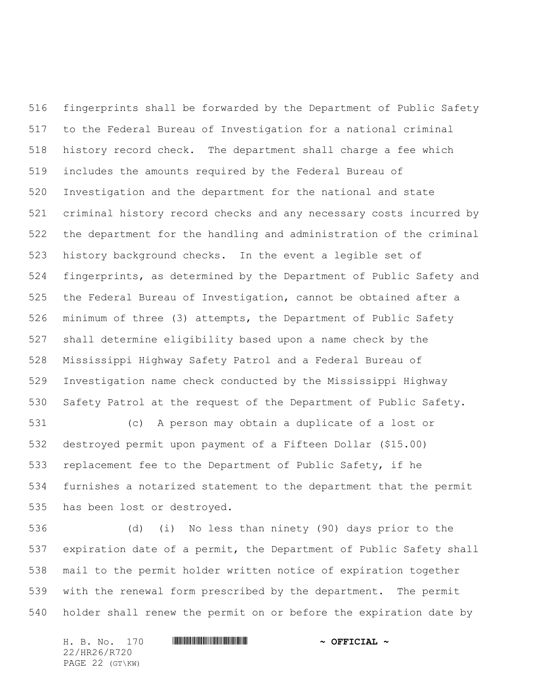fingerprints shall be forwarded by the Department of Public Safety to the Federal Bureau of Investigation for a national criminal history record check. The department shall charge a fee which includes the amounts required by the Federal Bureau of Investigation and the department for the national and state criminal history record checks and any necessary costs incurred by the department for the handling and administration of the criminal history background checks. In the event a legible set of fingerprints, as determined by the Department of Public Safety and the Federal Bureau of Investigation, cannot be obtained after a minimum of three (3) attempts, the Department of Public Safety shall determine eligibility based upon a name check by the Mississippi Highway Safety Patrol and a Federal Bureau of Investigation name check conducted by the Mississippi Highway Safety Patrol at the request of the Department of Public Safety.

 (c) A person may obtain a duplicate of a lost or destroyed permit upon payment of a Fifteen Dollar (\$15.00) replacement fee to the Department of Public Safety, if he furnishes a notarized statement to the department that the permit has been lost or destroyed.

 (d) (i) No less than ninety (90) days prior to the expiration date of a permit, the Department of Public Safety shall mail to the permit holder written notice of expiration together with the renewal form prescribed by the department. The permit holder shall renew the permit on or before the expiration date by

H. B. No. 170 \*HR26/R720\* **~ OFFICIAL ~** 22/HR26/R720 PAGE 22 (GT\KW)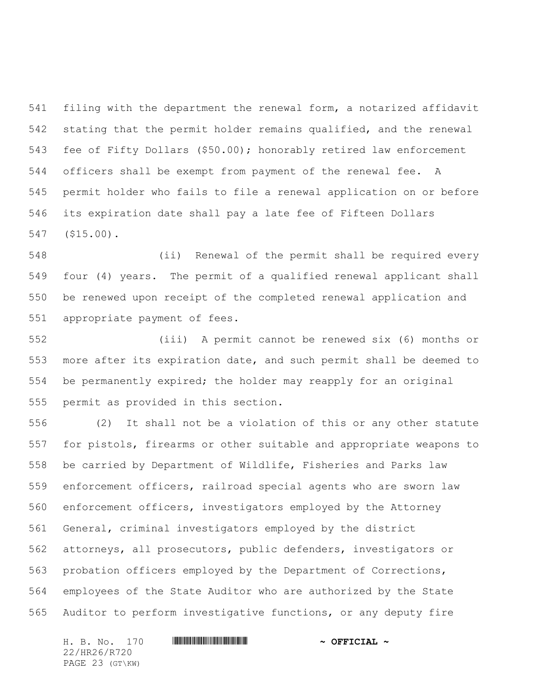filing with the department the renewal form, a notarized affidavit stating that the permit holder remains qualified, and the renewal fee of Fifty Dollars (\$50.00); honorably retired law enforcement officers shall be exempt from payment of the renewal fee. A permit holder who fails to file a renewal application on or before its expiration date shall pay a late fee of Fifteen Dollars (\$15.00).

 (ii) Renewal of the permit shall be required every four (4) years. The permit of a qualified renewal applicant shall be renewed upon receipt of the completed renewal application and appropriate payment of fees.

 (iii) A permit cannot be renewed six (6) months or more after its expiration date, and such permit shall be deemed to be permanently expired; the holder may reapply for an original permit as provided in this section.

 (2) It shall not be a violation of this or any other statute for pistols, firearms or other suitable and appropriate weapons to be carried by Department of Wildlife, Fisheries and Parks law enforcement officers, railroad special agents who are sworn law enforcement officers, investigators employed by the Attorney General, criminal investigators employed by the district attorneys, all prosecutors, public defenders, investigators or probation officers employed by the Department of Corrections, employees of the State Auditor who are authorized by the State Auditor to perform investigative functions, or any deputy fire

22/HR26/R720 PAGE 23 (GT\KW)

H. B. No. 170 \*HR26/R720\* **~ OFFICIAL ~**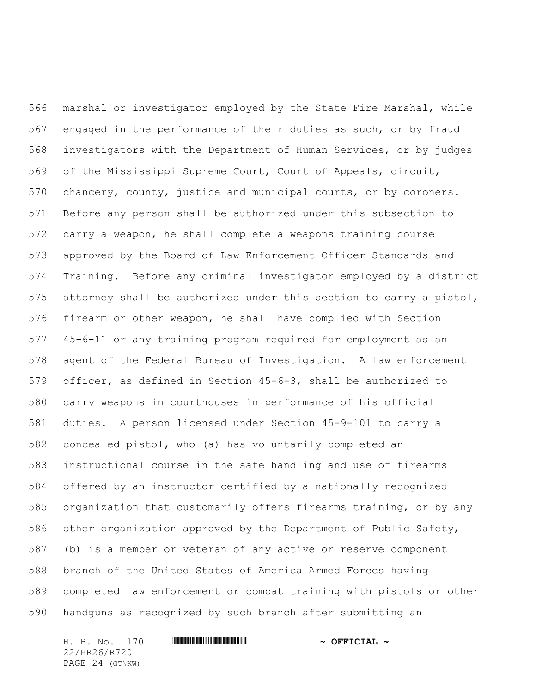marshal or investigator employed by the State Fire Marshal, while engaged in the performance of their duties as such, or by fraud investigators with the Department of Human Services, or by judges of the Mississippi Supreme Court, Court of Appeals, circuit, chancery, county, justice and municipal courts, or by coroners. Before any person shall be authorized under this subsection to carry a weapon, he shall complete a weapons training course approved by the Board of Law Enforcement Officer Standards and Training. Before any criminal investigator employed by a district attorney shall be authorized under this section to carry a pistol, firearm or other weapon, he shall have complied with Section 45-6-11 or any training program required for employment as an agent of the Federal Bureau of Investigation. A law enforcement officer, as defined in Section 45-6-3, shall be authorized to carry weapons in courthouses in performance of his official duties. A person licensed under Section 45-9-101 to carry a concealed pistol, who (a) has voluntarily completed an instructional course in the safe handling and use of firearms offered by an instructor certified by a nationally recognized organization that customarily offers firearms training, or by any other organization approved by the Department of Public Safety, (b) is a member or veteran of any active or reserve component branch of the United States of America Armed Forces having completed law enforcement or combat training with pistols or other handguns as recognized by such branch after submitting an

H. B. No. 170 \*HR26/R720\* **~ OFFICIAL ~** 22/HR26/R720 PAGE 24 (GT\KW)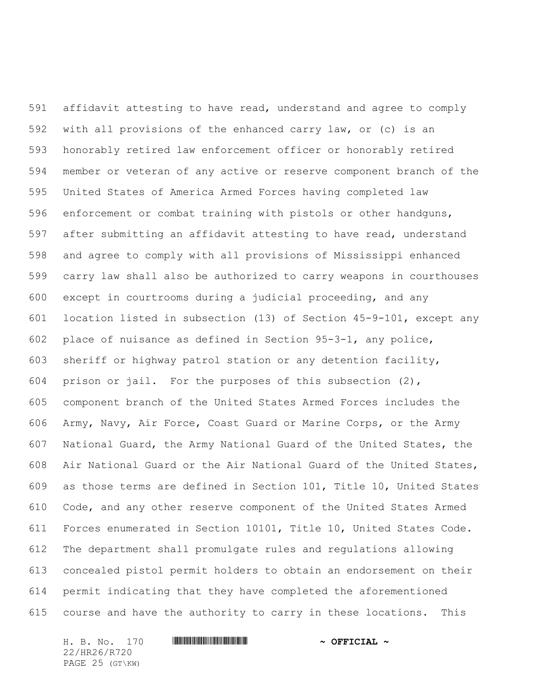affidavit attesting to have read, understand and agree to comply with all provisions of the enhanced carry law, or (c) is an honorably retired law enforcement officer or honorably retired member or veteran of any active or reserve component branch of the United States of America Armed Forces having completed law enforcement or combat training with pistols or other handguns, after submitting an affidavit attesting to have read, understand and agree to comply with all provisions of Mississippi enhanced carry law shall also be authorized to carry weapons in courthouses except in courtrooms during a judicial proceeding, and any location listed in subsection (13) of Section 45-9-101, except any place of nuisance as defined in Section 95-3-1, any police, sheriff or highway patrol station or any detention facility, prison or jail. For the purposes of this subsection (2), component branch of the United States Armed Forces includes the Army, Navy, Air Force, Coast Guard or Marine Corps, or the Army National Guard, the Army National Guard of the United States, the Air National Guard or the Air National Guard of the United States, as those terms are defined in Section 101, Title 10, United States Code, and any other reserve component of the United States Armed Forces enumerated in Section 10101, Title 10, United States Code. The department shall promulgate rules and regulations allowing concealed pistol permit holders to obtain an endorsement on their permit indicating that they have completed the aforementioned course and have the authority to carry in these locations. This

H. B. No. 170 \*HR26/R720\* **~ OFFICIAL ~** 22/HR26/R720 PAGE 25 (GT\KW)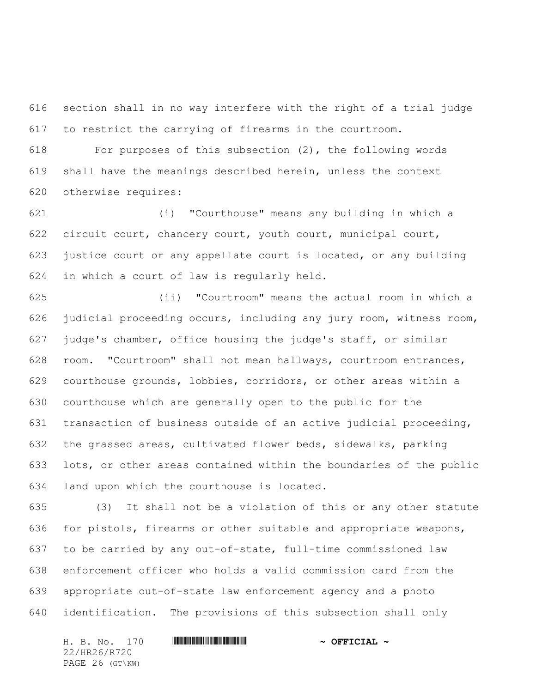section shall in no way interfere with the right of a trial judge to restrict the carrying of firearms in the courtroom.

 For purposes of this subsection (2), the following words shall have the meanings described herein, unless the context otherwise requires:

 (i) "Courthouse" means any building in which a circuit court, chancery court, youth court, municipal court, justice court or any appellate court is located, or any building in which a court of law is regularly held.

 (ii) "Courtroom" means the actual room in which a judicial proceeding occurs, including any jury room, witness room, judge's chamber, office housing the judge's staff, or similar room. "Courtroom" shall not mean hallways, courtroom entrances, courthouse grounds, lobbies, corridors, or other areas within a courthouse which are generally open to the public for the transaction of business outside of an active judicial proceeding, the grassed areas, cultivated flower beds, sidewalks, parking lots, or other areas contained within the boundaries of the public land upon which the courthouse is located.

 (3) It shall not be a violation of this or any other statute for pistols, firearms or other suitable and appropriate weapons, to be carried by any out-of-state, full-time commissioned law enforcement officer who holds a valid commission card from the appropriate out-of-state law enforcement agency and a photo identification. The provisions of this subsection shall only

H. B. No. 170 \*HR26/R720\* **~ OFFICIAL ~** 22/HR26/R720 PAGE 26 (GT\KW)